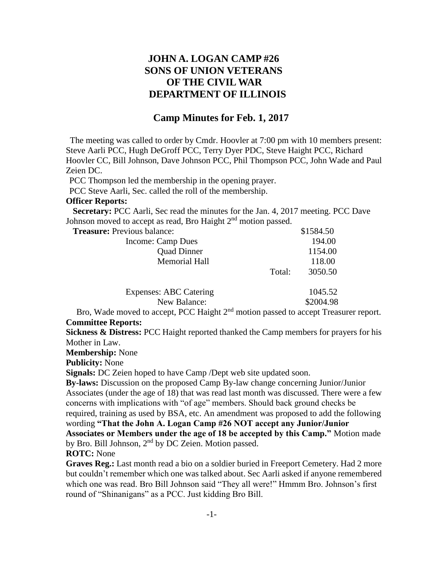## **JOHN A. LOGAN CAMP #26 SONS OF UNION VETERANS OF THE CIVIL WAR DEPARTMENT OF ILLINOIS**

### **Camp Minutes for Feb. 1, 2017**

The meeting was called to order by Cmdr. Hoovler at 7:00 pm with 10 members present: Steve Aarli PCC, Hugh DeGroff PCC, Terry Dyer PDC, Steve Haight PCC, Richard Hoovler CC, Bill Johnson, Dave Johnson PCC, Phil Thompson PCC, John Wade and Paul Zeien DC.

PCC Thompson led the membership in the opening prayer.

PCC Steve Aarli, Sec. called the roll of the membership.

#### **Officer Reports:**

 **Secretary:** PCC Aarli, Sec read the minutes for the Jan. 4, 2017 meeting. PCC Dave Johnson moved to accept as read, Bro Haight 2<sup>nd</sup> motion passed.

| <b>Treasure:</b> Previous balance: |        | \$1584.50 |
|------------------------------------|--------|-----------|
| Income: Camp Dues                  |        | 194.00    |
| <b>Quad Dinner</b>                 |        | 1154.00   |
| <b>Memorial Hall</b>               | 118.00 |           |
|                                    | Total: | 3050.50   |
| <b>Expenses: ABC Catering</b>      |        | 1045.52   |
| New Balance:                       |        | \$2004.98 |

Bro, Wade moved to accept, PCC Haight 2<sup>nd</sup> motion passed to accept Treasurer report. **Committee Reports:**

**Sickness & Distress:** PCC Haight reported thanked the Camp members for prayers for his Mother in Law.

**Membership:** None

**Publicity:** None

**Signals:** DC Zeien hoped to have Camp /Dept web site updated soon.

**By-laws:** Discussion on the proposed Camp By-law change concerning Junior/Junior Associates (under the age of 18) that was read last month was discussed. There were a few concerns with implications with "of age" members. Should back ground checks be required, training as used by BSA, etc. An amendment was proposed to add the following wording **"That the John A. Logan Camp #26 NOT accept any Junior/Junior Associates or Members under the age of 18 be accepted by this Camp."** Motion made

by Bro. Bill Johnson,  $2<sup>nd</sup>$  by DC Zeien. Motion passed.

**ROTC:** None

**Graves Reg.:** Last month read a bio on a soldier buried in Freeport Cemetery. Had 2 more but couldn't remember which one was talked about. Sec Aarli asked if anyone remembered which one was read. Bro Bill Johnson said "They all were!" Hmmm Bro. Johnson's first round of "Shinanigans" as a PCC. Just kidding Bro Bill.